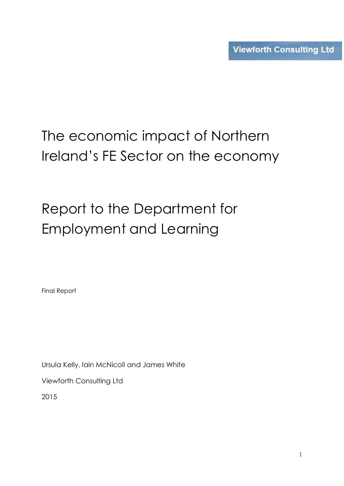# The economic impact of Northern Ireland's FE Sector on the economy

# Report to the Department for Employment and Learning

Final Report

Ursula Kelly, Iain McNicoll and James White

Viewforth Consulting Ltd

2015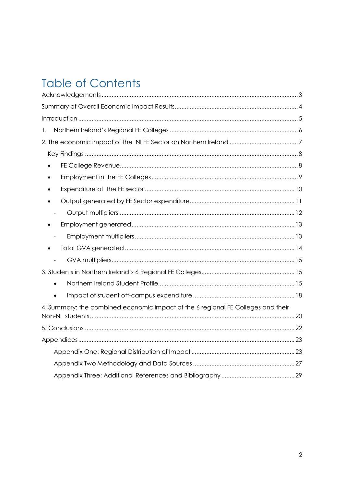## **Table of Contents**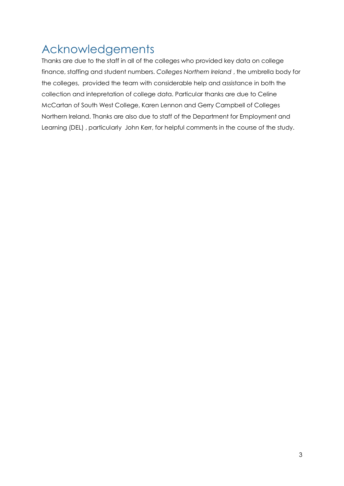## <span id="page-2-0"></span>Acknowledgements

Thanks are due to the staff in all of the colleges who provided key data on college finance, staffing and student numbers. *Colleges Northern Ireland* , the umbrella body for the colleges, provided the team with considerable help and assistance in both the collection and intepretation of college data. Particular thanks are due to Celine McCartan of South West College, Karen Lennon and Gerry Campbell of Colleges Northern Ireland. Thanks are also due to staff of the Department for Employment and Learning (DEL), particularly John Kerr, for helpful comments in the course of the study.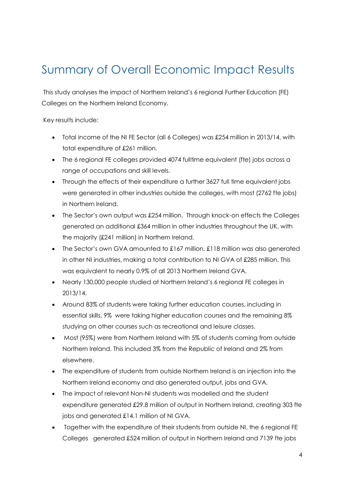## <span id="page-3-0"></span>Summary of Overall Economic Impact Results

This study analyses the impact of Northern Ireland's 6 regional Further Education (FE) Colleges on the Northern Ireland Economy.

Key results include:

- Total income of the NI FE Sector (all 6 Colleges) was £254 million in 2013/14, with total expenditure of £261 million.
- The 6 regional FE colleges provided 4074 fulltime equivalent (fte) jobs across a range of occupations and skill levels.
- Through the effects of their expenditure a further 3627 full time equivalent jobs were generated in other industries outside the colleges, with most (2762 fte jobs) in Northern Ireland.
- The Sector's own output was £254 million. Through knock-on effects the Colleges generated an additional £364 million in other industries throughout the UK, with the majority (£241 million) in Northern Ireland.
- The Sector's own GVA amounted to £167 million. £118 million was also generated in other NI industries, making a total contribution to NI GVA of £285 million. This was equivalent to nearly 0.9% of all 2013 Northern Ireland GVA.
- Nearly 130,000 people studied at Northern Ireland's 6 regional FE colleges in 2013/14.
- Around 83% of students were taking further education courses, including in essential skills, 9% were taking higher education courses and the remaining 8% studying on other courses such as recreational and leisure classes.
- Most (95%) were from Northern Ireland with 5% of students coming from outside Northern Ireland. This included 3% from the Republic of Ireland and 2% from elsewhere.
- The expenditure of students from outside Northern Ireland is an injection into the Northern Ireland economy and also generated output, jobs and GVA.
- The impact of relevant Non-NI students was modelled and the student expenditure generated £29.8 million of output in Northern Ireland, creating 303 fte jobs and generated £14.1 million of NI GVA.
- Together with the expenditure of their students from outside NI, the 6 regional FE Colleges generated £524 million of output in Northern Ireland and 7139 fte jobs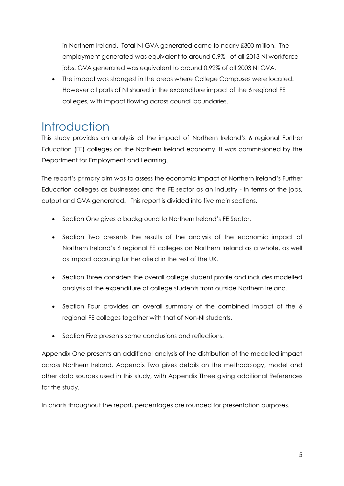in Northern Ireland. Total NI GVA generated came to nearly £300 million. The employment generated was equivalent to around 0.9% of all 2013 NI workforce jobs. GVA generated was equivalent to around 0.92% of all 2003 NI GVA.

• The impact was strongest in the areas where College Campuses were located. However all parts of NI shared in the expenditure impact of the 6 regional FE colleges, with impact flowing across council boundaries.

### <span id="page-4-0"></span>**Introduction**

This study provides an analysis of the impact of Northern Ireland's 6 regional Further Education (FE) colleges on the Northern Ireland economy. It was commissioned by the Department for Employment and Learning.

The report's primary aim was to assess the economic impact of Northern Ireland's Further Education colleges as businesses and the FE sector as an industry - in terms of the jobs, output and GVA generated. This report is divided into five main sections.

- Section One gives a background to Northern Ireland's FE Sector.
- Section Two presents the results of the analysis of the economic impact of Northern Ireland's 6 regional FE colleges on Northern Ireland as a whole, as well as impact accruing further afield in the rest of the UK.
- Section Three considers the overall college student profile and includes modelled analysis of the expenditure of college students from outside Northern Ireland.
- Section Four provides an overall summary of the combined impact of the 6 regional FE colleges together with that of Non-NI students.
- Section Five presents some conclusions and reflections.

Appendix One presents an additional analysis of the distribution of the modelled impact across Northern Ireland. Appendix Two gives details on the methodology, model and other data sources used in this study, with Appendix Three giving additional References for the study.

In charts throughout the report, percentages are rounded for presentation purposes.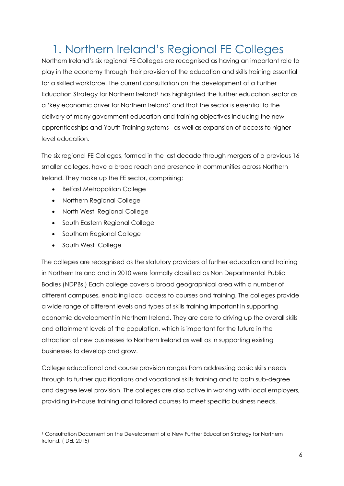## <span id="page-5-0"></span>1. Northern Ireland's Regional FE Colleges

Northern Ireland's six regional FE Colleges are recognised as having an important role to play in the economy through their provision of the education and skills training essential for a skilled workforce. The current consultation on the development of a Further Education Strategy for Northern Ireland<sup>1</sup> has highlighted the further education sector as a 'key economic driver for Northern Ireland' and that the sector is essential to the delivery of many government education and training objectives including the new apprenticeships and Youth Training systems as well as expansion of access to higher level education.

The six regional FE Colleges, formed in the last decade through mergers of a previous 16 smaller colleges, have a broad reach and presence in communities across Northern Ireland. They make up the FE sector, comprising:

- Belfast Metropolitan College
- Northern Regional College
- North West Regional College
- South Eastern Regional College
- Southern Regional College
- South West College

The colleges are recognised as the statutory providers of further education and training in Northern Ireland and in 2010 were formally classified as Non Departmental Public Bodies (NDPBs.) Each college covers a broad geographical area with a number of different campuses, enabling local access to courses and training. The colleges provide a wide range of different levels and types of skills training important in supporting economic development in Northern Ireland. They are core to driving up the overall skills and attainment levels of the population, which is important for the future in the attraction of new businesses to Northern Ireland as well as in supporting existing businesses to develop and grow.

College educational and course provision ranges from addressing basic skills needs through to further qualifications and vocational skills training and to both sub-degree and degree level provision. The colleges are also active in working with local employers, providing in-house training and tailored courses to meet specific business needs.

<sup>-</sup><sup>1</sup> Consultation Document on the Development of a New Further Education Strategy for Northern Ireland. ( DEL 2015)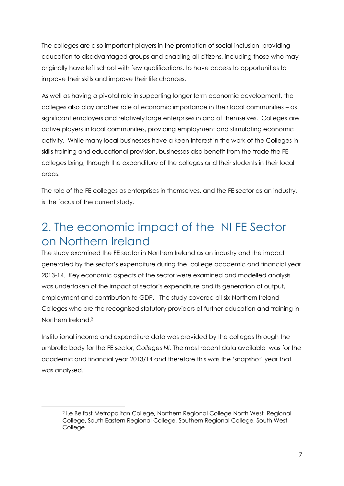The colleges are also important players in the promotion of social inclusion, providing education to disadvantaged groups and enabling all citizens, including those who may originally have left school with few qualifications, to have access to opportunities to improve their skills and improve their life chances.

As well as having a pivotal role in supporting longer term economic development, the colleges also play another role of economic importance in their local communities – as significant employers and relatively large enterprises in and of themselves. Colleges are active players in local communities, providing employment and stimulating economic activity. While many local businesses have a keen interest in the work of the Colleges in skills training and educational provision, businesses also benefit from the trade the FE colleges bring, through the expenditure of the colleges and their students in their local areas.

The role of the FE colleges as enterprises in themselves, and the FE sector as an industry, is the focus of the current study.

## <span id="page-6-0"></span>2. The economic impact of the NI FE Sector on Northern Ireland

The study examined the FE sector in Northern Ireland as an industry and the impact generated by the sector's expenditure during the college academic and financial year 2013-14. Key economic aspects of the sector were examined and modelled analysis was undertaken of the impact of sector's expenditure and its generation of output, employment and contribution to GDP. The study covered all six Northern Ireland Colleges who are the recognised statutory providers of further education and training in Northern Ireland<sup>2</sup>

Institutional income and expenditure data was provided by the colleges through the umbrella body for the FE sector, *Colleges NI.* The most recent data available was for the academic and financial year 2013/14 and therefore this was the 'snapshot' year that was analysed.

-

<sup>2</sup> i.e Belfast Metropolitan College, Northern Regional College North West Regional College, South Eastern Regional College, Southern Regional College, South West College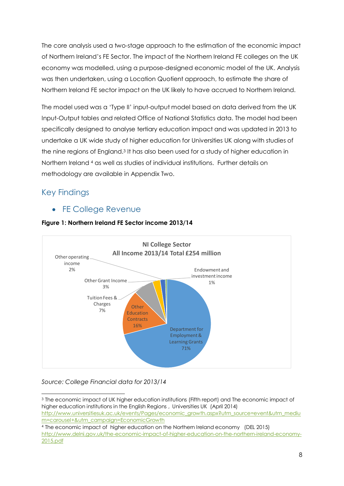The core analysis used a two-stage approach to the estimation of the economic impact of Northern Ireland's FE Sector. The impact of the Northern Ireland FE colleges on the UK economy was modelled, using a purpose-designed economic model of the UK. Analysis was then undertaken, using a Location Quotient approach, to estimate the share of Northern Ireland FE sector impact on the UK likely to have accrued to Northern Ireland.

The model used was a 'Type II' input-output model based on data derived from the UK Input-Output tables and related Office of National Statistics data. The model had been specifically designed to analyse tertiary education impact and was updated in 2013 to undertake a UK wide study of higher education for Universities UK along with studies of the nine regions of England.<sup>3</sup> It has also been used for a study of higher education in Northern Ireland <sup>4</sup> as well as studies of individual institutions. Further details on methodology are available in Appendix Two.

### <span id="page-7-0"></span>Key Findings

-

<span id="page-7-1"></span>FE College Revenue



#### **Figure 1: Northern Ireland FE Sector income 2013/14**

#### *Source: College Financial data for 2013/14*

<sup>3</sup> The economic impact of UK higher education institutions (Fifth report) and The economic impact of higher education institutions in the English Regions , Universities UK (April 2014) [http://www.universitiesuk.ac.uk/events/Pages/economic\\_growth.aspx?utm\\_source=event&utm\\_mediu](http://www.universitiesuk.ac.uk/events/Pages/economic_growth.aspx?utm_source=event&utm_medium=carousel+&utm_campaign=EconomicGrowth) [m=carousel+&utm\\_campaign=EconomicGrowth](http://www.universitiesuk.ac.uk/events/Pages/economic_growth.aspx?utm_source=event&utm_medium=carousel+&utm_campaign=EconomicGrowth)

<sup>4</sup> The economic impact of higher education on the Northern Ireland economy (DEL 2015) [http://www.delni.gov.uk/the-economic-impact-of-higher-education-on-the-northern-ireland-economy-](http://www.delni.gov.uk/the-economic-impact-of-higher-education-on-the-northern-ireland-economy-2015.pdf)[2015.pdf](http://www.delni.gov.uk/the-economic-impact-of-higher-education-on-the-northern-ireland-economy-2015.pdf)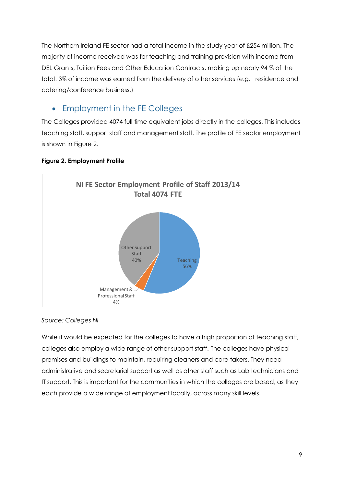The Northern Ireland FE sector had a total income in the study year of £254 million. The majority of income received was for teaching and training provision with income from DEL Grants, Tuition Fees and Other Education Contracts, making up nearly 94 % of the total. 3% of income was earned from the delivery of other services (e.g. residence and catering/conference business.)

### <span id="page-8-0"></span>• Employment in the FE Colleges

The Colleges provided 4074 full time equivalent jobs directly in the colleges. This includes teaching staff, support staff and management staff. The profile of FE sector employment is shown in Figure 2.



#### **Figure 2. Employment Profile**

#### *Source: Colleges NI*

While it would be expected for the colleges to have a high proportion of teaching staff, colleges also employ a wide range of other support staff. The colleges have physical premises and buildings to maintain, requiring cleaners and care takers. They need administrative and secretarial support as well as other staff such as Lab technicians and IT support. This is important for the communities in which the colleges are based, as they each provide a wide range of employment locally, across many skill levels.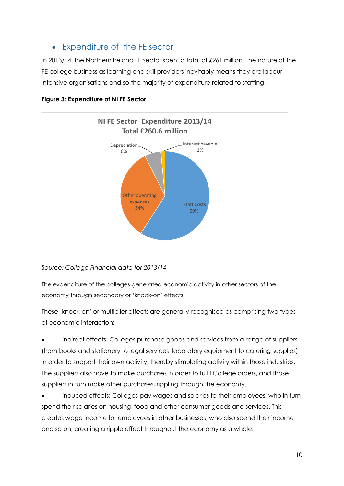### <span id="page-9-0"></span>Expenditure of the FE sector

In 2013/14 the Northern Ireland FE sector spent a total of £261 million. The nature of the FE college business as learning and skill providers inevitably means they are labour intensive organisations and so the majority of expenditure related to staffing.



#### **Figure 3: Expenditure of NI FE Sector**

*Source: College Financial data for 2013/14*

The expenditure of the colleges generated economic activity in other sectors of the economy through secondary or 'knock-on' effects.

These 'knock-on' or multiplier effects are generally recognised as comprising two types of economic interaction:

 indirect effects: Colleges purchase goods and services from a range of suppliers (from books and stationery to legal services, laboratory equipment to catering supplies) in order to support their own activity, thereby stimulating activity within those industries. The suppliers also have to make purchases in order to fulfil College orders, and those suppliers in turn make other purchases, rippling through the economy.

 induced effects: Colleges pay wages and salaries to their employees, who in turn spend their salaries on housing, food and other consumer goods and services. This creates wage income for employees in other businesses, who also spend their income and so on, creating a ripple effect throughout the economy as a whole.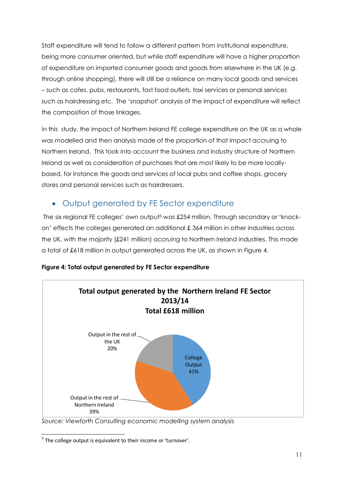Staff expenditure will tend to follow a different pattern from institutional expenditure, being more consumer oriented, but while staff expenditure will have a higher proportion of expenditure on imported consumer goods and goods from elsewhere in the UK (e.g. through online shopping), there will still be a reliance on many local goods and services – such as cafes, pubs, restaurants, fast food outlets, taxi services or personal services such as hairdressing etc. The 'snapshot' analysis of the impact of expenditure will reflect the composition of those linkages.

In this study, the impact of Northern Ireland FE college expenditure on the UK as a whole was modelled and then analysis made of the proportion of that impact accruing to Northern Ireland. This took into account the business and industry structure of Northern Ireland as well as consideration of purchases that are most likely to be more locallybased, for instance the goods and services of local pubs and coffee shops, grocery stores and personal services such as hairdressers.

### <span id="page-10-0"></span>Output generated by FE Sector expenditure

The six regional FE colleges' own output<sup>5</sup> was £254 million. Through secondary or 'knockon' effects the colleges generated an additional £ 364 million in other industries across the UK, with the majority (£241 million) accruing to Northern Ireland industries. This made a total of £618 million in output generated across the UK, as shown in Figure 4.



#### **Figure 4: Total output generated by FE Sector expenditure**

*Source: Viewforth Consulting economic modelling system analysis*

 5 The college output is equivalent to their income or 'turnover'.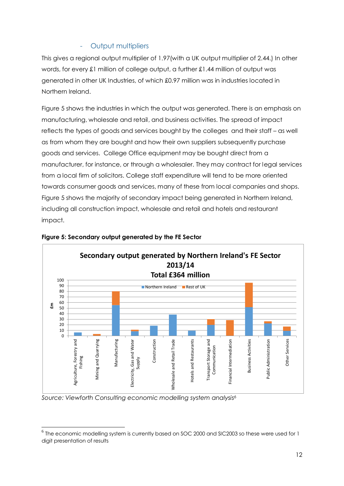#### - Output multipliers

<span id="page-11-0"></span>This gives a regional output multiplier of 1.97(with a UK output multiplier of 2.44.) In other words, for every £1 million of college output, a further £1.44 million of output was generated in other UK Industries, of which £0.97 million was in industries located in Northern Ireland.

Figure 5 shows the industries in which the output was generated. There is an emphasis on manufacturing, wholesale and retail, and business activities. The spread of impact reflects the types of goods and services bought by the colleges and their staff – as well as from whom they are bought and how their own suppliers subsequently purchase goods and services. College Office equipment may be bought direct from a manufacturer, for instance, or through a wholesaler. They may contract for legal services from a local firm of solicitors. College staff expenditure will tend to be more oriented towards consumer goods and services, many of these from local companies and shops. Figure 5 shows the majority of secondary impact being generated in Northern Ireland, including all construction impact, wholesale and retail and hotels and restaurant impact.



#### **Figure 5: Secondary output generated by the FE Sector**

*Source: Viewforth Consulting economic modelling system analysis<sup>6</sup>*

 $\overline{a}$ 

 $^6$  The economic modelling system is currently based on SOC 2000 and SIC2003 so these were used for 1 digit presentation of results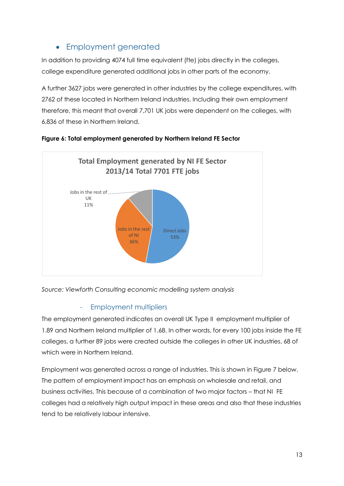### Employment generated

<span id="page-12-0"></span>In addition to providing 4074 full time equivalent (fte) jobs directly in the colleges, college expenditure generated additional jobs in other parts of the economy.

A further 3627 jobs were generated in other industries by the college expenditures, with 2762 of these located in Northern Ireland industries. Including their own employment therefore, this meant that overall 7,701 UK jobs were dependent on the colleges, with 6,836 of these in Northern Ireland.





*Source: Viewforth Consulting economic modelling system analysis*

#### - Employment multipliers

<span id="page-12-1"></span>The employment generated indicates an overall UK Type II employment multiplier of 1.89 and Northern Ireland multiplier of 1.68. In other words, for every 100 jobs inside the FE colleges, a further 89 jobs were created outside the colleges in other UK industries, 68 of which were in Northern Ireland.

Employment was generated across a range of industries. This is shown in Figure 7 below. The pattern of employment impact has an emphasis on wholesale and retail, and business activities. This because of a combination of two major factors – that NI FE colleges had a relatively high output impact in these areas and also that these industries tend to be relatively labour intensive.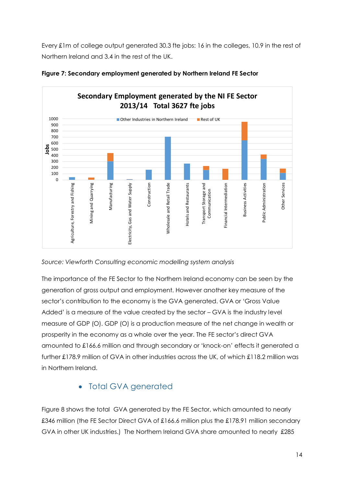Every £1m of college output generated 30.3 fte jobs: 16 in the colleges, 10.9 in the rest of Northern Ireland and 3.4 in the rest of the UK.



**Figure 7: Secondary employment generated by Northern Ireland FE Sector**

*Source: Viewforth Consulting economic modelling system analysis*

The importance of the FE Sector to the Northern Ireland economy can be seen by the generation of gross output and employment. However another key measure of the sector's contribution to the economy is the GVA generated. GVA or 'Gross Value Added' is a measure of the value created by the sector – GVA is the industry level measure of GDP (O). GDP (O) is a production measure of the net change in wealth or prosperity in the economy as a whole over the year. The FE sector's direct GVA amounted to £166.6 million and through secondary or 'knock-on' effects it generated a further £178.9 million of GVA in other industries across the UK, of which £118.2 million was in Northern Ireland.

### • Total GVA generated

<span id="page-13-0"></span>Figure 8 shows the total GVA generated by the FE Sector, which amounted to nearly £346 million (the FE Sector Direct GVA of £166.6 million plus the £178.91 million secondary GVA in other UK industries.) The Northern Ireland GVA share amounted to nearly £285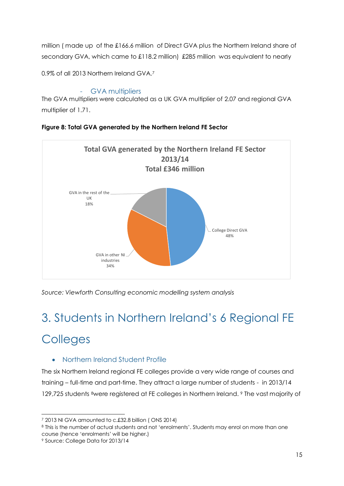million ( made up of the £166.6 million of Direct GVA plus the Northern Ireland share of secondary GVA, which came to £118.2 million) £285 million was equivalent to nearly

0.9% of all 2013 Northern Ireland GVA.<sup>7</sup>

#### GVA multipliers

<span id="page-14-0"></span>The GVA multipliers were calculated as a UK GVA multiplier of 2.07 and regional GVA multiplier of 1.71.



#### **Figure 8: Total GVA generated by the Northern Ireland FE Sector**

*Source: Viewforth Consulting economic modelling system analysis*

## <span id="page-14-1"></span>3. Students in Northern Ireland's 6 Regional FE

## **Colleges**

#### <span id="page-14-2"></span>• Northern Ireland Student Profile

The six Northern Ireland regional FE colleges provide a very wide range of courses and training – full-time and part-time. They attract a large number of students - in 2013/14 129,725 students 8were registered at FE colleges in Northern Ireland. <sup>9</sup> The vast majority of

<sup>9</sup> Source: College Data for 2013/14

<sup>-</sup><sup>7</sup> 2013 NI GVA amounted to c.£32.8 billion ( ONS 2014)

<sup>8</sup> This is the number of actual students and not 'enrolments'. Students may enrol on more than one course (hence 'enrolments' will be higher.)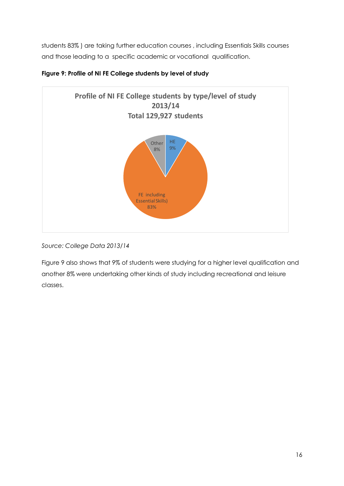students 83% ) are taking further education courses , including Essentials Skills courses and those leading to a specific academic or vocational qualification.



#### **Figure 9: Profile of NI FE College students by level of study**

*Source: College Data 2013/14*

Figure 9 also shows that 9% of students were studying for a higher level qualification and another 8% were undertaking other kinds of study including recreational and leisure classes.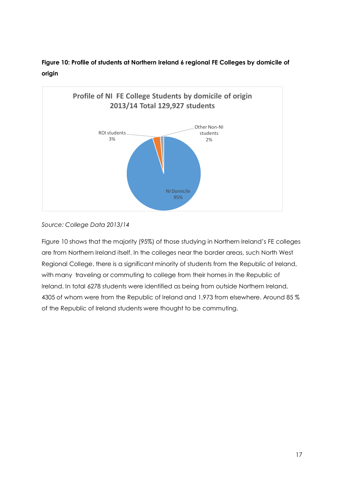



#### *Source: College Data 2013/14*

Figure 10 shows that the majority (95%) of those studying in Northern Ireland's FE colleges are from Northern Ireland itself. In the colleges near the border areas, such North West Regional College, there is a significant minority of students from the Republic of Ireland, with many traveling or commuting to college from their homes in the Republic of Ireland. In total 6278 students were identified as being from outside Northern Ireland, 4305 of whom were from the Republic of Ireland and 1,973 from elsewhere. Around 85 % of the Republic of Ireland students were thought to be commuting.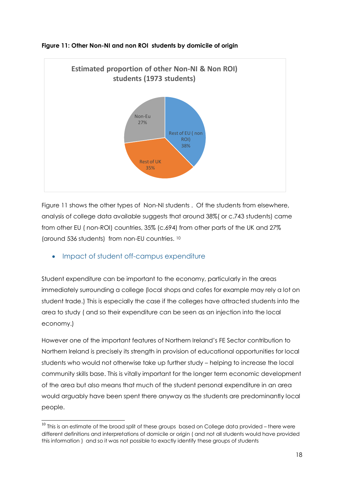

#### **Figure 11: Other Non-NI and non ROI students by domicile of origin**

Figure 11 shows the other types of Non-NI students . Of the students from elsewhere, analysis of college data available suggests that around 38%( or c.743 students) came from other EU ( non-ROI) countries, 35% (c.694) from other parts of the UK and 27% (around 536 students) from non-EU countries. <sup>10</sup>

#### <span id="page-17-0"></span>• Impact of student off-campus expenditure

Student expenditure can be important to the economy, particularly in the areas immediately surrounding a college (local shops and cafes for example may rely a lot on student trade.) This is especially the case if the colleges have attracted students into the area to study ( and so their expenditure can be seen as an injection into the local economy.)

However one of the important features of Northern Ireland's FE Sector contribution to Northern Ireland is precisely its strength in provision of educational opportunities for local students who would not otherwise take up further study – helping to increase the local community skills base. This is vitally important for the longer term economic development of the area but also means that much of the student personal expenditure in an area would arguably have been spent there anyway as the students are predominantly local people.

<sup>-</sup> $10$  This is an estimate of the broad split of these groups based on College data provided – there were different definitions and interpretations of domicile or origin ( and not all students would have provided this information ) and so it was not possible to exactly identify these groups of students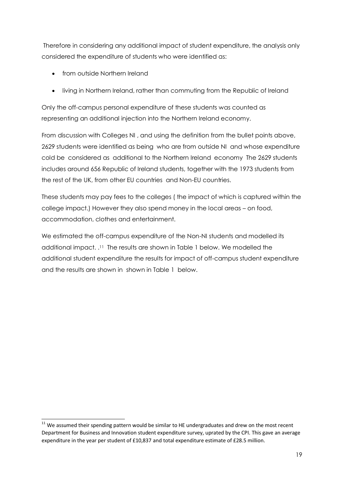Therefore in considering any additional impact of student expenditure, the analysis only considered the expenditure of students who were identified as:

• from outside Northern Ireland

 $\overline{\phantom{a}}$ 

living in Northern Ireland, rather than commuting from the Republic of Ireland

Only the off-campus personal expenditure of these students was counted as representing an additional injection into the Northern Ireland economy.

From discussion with Colleges NI, and using the definition from the bullet points above, 2629 students were identified as being who are from outside NI and whose expenditure cold be considered as additional to the Northern Ireland economy The 2629 students includes around 656 Republic of Ireland students, together with the 1973 students from the rest of the UK, from other EU countries and Non-EU countries.

These students may pay fees to the colleges ( the impact of which is captured within the college impact.) However they also spend money in the local areas – on food, accommodation, clothes and entertainment.

We estimated the off-campus expenditure of the Non-NI students and modelled its additional impact. . <sup>11</sup> The results are shown in Table 1 below. We modelled the additional student expenditure the results for impact of off-campus student expenditure and the results are shown in shown in Table 1 below.

 $11$  We assumed their spending pattern would be similar to HE undergraduates and drew on the most recent Department for Business and Innovation student expenditure survey, uprated by the CPI. This gave an average expenditure in the year per student of £10,837 and total expenditure estimate of £28.5 million.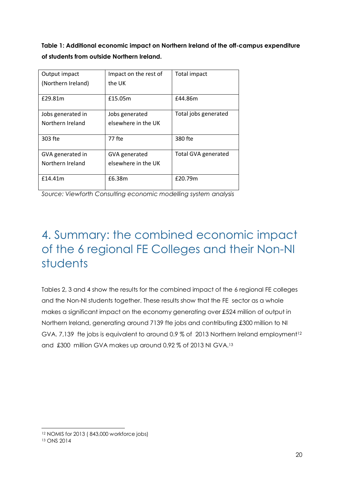**Table 1: Additional economic impact on Northern Ireland of the off-campus expenditure of students from outside Northern Ireland.**

| Output impact      | Impact on the rest of | Total impact               |
|--------------------|-----------------------|----------------------------|
| (Northern Ireland) | the UK                |                            |
|                    |                       |                            |
| £29.81m            | £15.05m               | £44.86m                    |
|                    |                       |                            |
| Jobs generated in  | Jobs generated        | Total jobs generated       |
| Northern Ireland   | elsewhere in the UK   |                            |
|                    |                       |                            |
| 303 fte            | 77 fte                | 380 fte                    |
|                    |                       |                            |
| GVA generated in   | GVA generated         | <b>Total GVA generated</b> |
| Northern Ireland   | elsewhere in the UK   |                            |
|                    |                       |                            |
| f14.41m            | £6.38m                | £20.79m                    |
|                    |                       |                            |

*Source: Viewforth Consulting economic modelling system analysis*

## <span id="page-19-0"></span>4. Summary: the combined economic impact of the 6 regional FE Colleges and their Non-NI students

Tables 2, 3 and 4 show the results for the combined impact of the 6 regional FE colleges and the Non-NI students together. These results show that the FE sector as a whole makes a significant impact on the economy generating over £524 million of output in Northern Ireland, generating around 7139 fte jobs and contributing £300 million to NI GVA. 7,139 fte jobs is equivalent to around 0.9 % of 2013 Northern Ireland employment<sup>12</sup> and £300 million GVA makes up around 0.92 % of 2013 NI GVA.<sup>13</sup>

<sup>-</sup><sup>12</sup> NOMIS for 2013 ( 843,000 workforce jobs)

<sup>13</sup> ONS 2014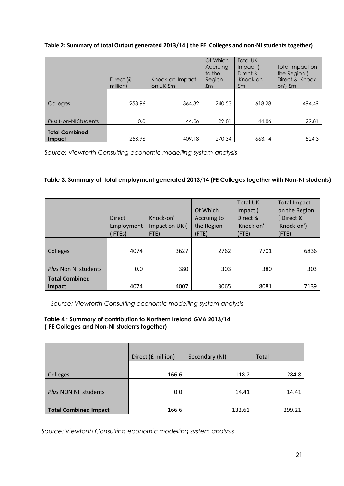#### **Table 2: Summary of total Output generated 2013/14 ( the FE Colleges and non-NI students together)**

|                                 | Direct $f$<br>million) | Knock-on' Impact<br>on UK £m | Of Which<br>Accruing<br>to the<br>Region<br>$\pmb{m}$ | <b>Total UK</b><br>Impact (<br>Direct &<br>'Knock-on'<br>$\pmb{m}$ | Total Impact on<br>the Region (<br>Direct & 'Knock-<br>on') £m |
|---------------------------------|------------------------|------------------------------|-------------------------------------------------------|--------------------------------------------------------------------|----------------------------------------------------------------|
| <b>Colleges</b>                 | 253.96                 | 364.32                       | 240.53                                                | 618.28                                                             | 494.49                                                         |
| <b>Plus Non-NI Students</b>     | 0.0                    | 44.86                        | 29.81                                                 | 44.86                                                              | 29.81                                                          |
| <b>Total Combined</b><br>Impact | 253.96                 | 409.18                       | 270.34                                                | 663.14                                                             | 524.3                                                          |

*Source: Viewforth Consulting economic modelling system analysis*

#### **Table 3: Summary of total employment generated 2013/14 (FE Colleges together with Non-NI students)**

|                                        | <b>Direct</b><br>Employment<br>FTE <sub>s</sub> ) | Knock-on'<br>Impact on UK (<br>FTE) | Of Which<br>Accruing to<br>the Region<br>$($ FTE) | <b>Total UK</b><br>Impact (<br>Direct &<br>'Knock-on'<br>$($ FTE $)$ | <b>Total Impact</b><br>on the Region<br>Direct &<br>'Knock-on')<br>(FTE) |
|----------------------------------------|---------------------------------------------------|-------------------------------------|---------------------------------------------------|----------------------------------------------------------------------|--------------------------------------------------------------------------|
| Colleges                               | 4074                                              | 3627                                | 2762                                              | 7701                                                                 | 6836                                                                     |
| Plus Non NI students                   | 0.0                                               | 380                                 | 303                                               | 380                                                                  | 303                                                                      |
| <b>Total Combined</b><br><b>Impact</b> | 4074                                              | 4007                                | 3065                                              | 8081                                                                 | 7139                                                                     |

*Source: Viewforth Consulting economic modelling system analysis*

#### **Table 4 : Summary of contribution to Northern Ireland GVA 2013/14 ( FE Colleges and Non-NI students together)**

|                              | Direct (£ million) | Secondary (NI) | Total  |
|------------------------------|--------------------|----------------|--------|
| Colleges                     | 166.6              | 118.2          | 284.8  |
| Plus NON NI students         | 0.0                | 14.41          | 14.41  |
| <b>Total Combined Impact</b> | 166.6              | 132.61         | 299.21 |

*Source: Viewforth Consulting economic modelling system analysis*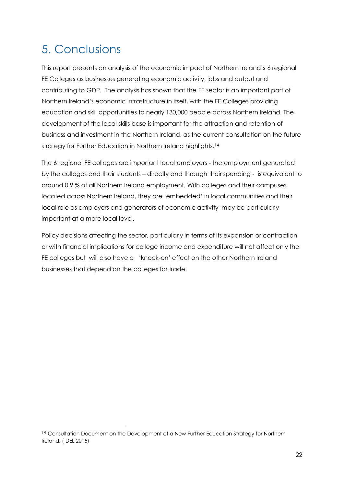## <span id="page-21-0"></span>5. Conclusions

-

This report presents an analysis of the economic impact of Northern Ireland's 6 regional FE Colleges as businesses generating economic activity, jobs and output and contributing to GDP. The analysis has shown that the FE sector is an important part of Northern Ireland's economic infrastructure in itself, with the FE Colleges providing education and skill opportunities to nearly 130,000 people across Northern Ireland. The development of the local skills base is important for the attraction and retention of business and investment in the Northern Ireland, as the current consultation on the future strategy for Further Education in Northern Ireland highlights.<sup>14</sup>

The 6 regional FE colleges are important local employers - the employment generated by the colleges and their students – directly and through their spending - is equivalent to around 0.9 % of all Northern Ireland employment. With colleges and their campuses located across Northern Ireland, they are 'embedded' in local communities and their local role as employers and generators of economic activity may be particularly important at a more local level.

Policy decisions affecting the sector, particularly in terms of its expansion or contraction or with financial implications for college income and expenditure will not affect only the FE colleges but will also have a 'knock-on' effect on the other Northern Ireland businesses that depend on the colleges for trade.

<sup>&</sup>lt;sup>14</sup> Consultation Document on the Development of a New Further Education Strategy for Northern Ireland. ( DEL 2015)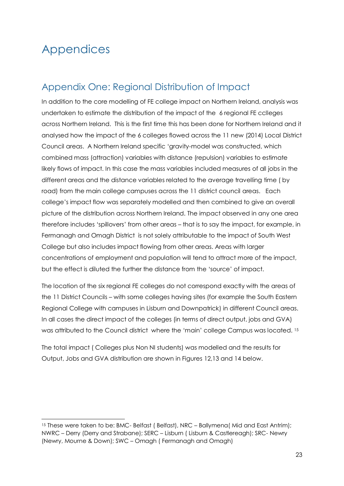## <span id="page-22-0"></span>Appendices

-

### <span id="page-22-1"></span>Appendix One: Regional Distribution of Impact

In addition to the core modelling of FE college impact on Northern Ireland, analysis was undertaken to estimate the distribution of the impact of the 6 regional FE cclleges across Northern Ireland. This is the first time this has been done for Northern Ireland and it analysed how the impact of the 6 colleges flowed across the 11 new (2014) Local District Council areas. A Northern Ireland specific 'gravity-model was constructed, which combined mass (attraction) variables with distance (repulsion) variables to estimate likely flows of impact. In this case the mass variables included measures of all jobs in the different areas and the distance variables related to the average travelling time ( by road) from the main college campuses across the 11 district council areas. Each college's impact flow was separately modelled and then combined to give an overall picture of the distribution across Northern Ireland. The impact observed in any one area therefore includes 'spillovers' from other areas – that is to say the impact, for example, in Fermanagh and Omagh District is not solely attributable to the impact of South West College but also includes impact flowing from other areas. Areas with larger concentrations of employment and population will tend to attract more of the impact, but the effect is diluted the further the distance from the 'source' of impact.

The location of the six regional FE colleges do not correspond exactly with the areas of the 11 District Councils – with some colleges having sites (for example the South Eastern Regional College with campuses in Lisburn and Downpatrick) in different Council areas. In all cases the direct impact of the colleges (in terms of direct output, jobs and GVA) was attributed to the Council district where the 'main' college Campus was located. <sup>15</sup>

The total impact ( Colleges plus Non NI students) was modelled and the results for Output, Jobs and GVA distribution are shown in Figures 12,13 and 14 below.

<sup>&</sup>lt;sup>15</sup> These were taken to be: BMC- Belfast ( Belfast), NRC – Ballymena ( Mid and East Antrim); NWRC – Derry (Derry and Strabane); SERC – Lisburn ( Lisburn & Castlereagh); SRC- Newry (Newry, Mourne & Down); SWC – Omagh ( Fermanagh and Omagh)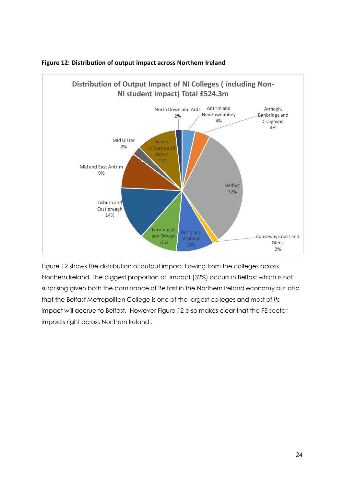

#### **Figure 12: Distribution of output impact across Northern Ireland**

Figure 12 shows the distribution of output impact flowing from the colleges across Northern Ireland. The biggest proportion of impact (32%) occurs in Belfast which is not surprising given both the dominance of Belfast in the Northern Ireland economy but also that the Belfast Metropolitan College is one of the largest colleges and most of *its*  impact will accrue to Belfast. However Figure 12 also makes clear that the FE sector impacts right across Northern Ireland .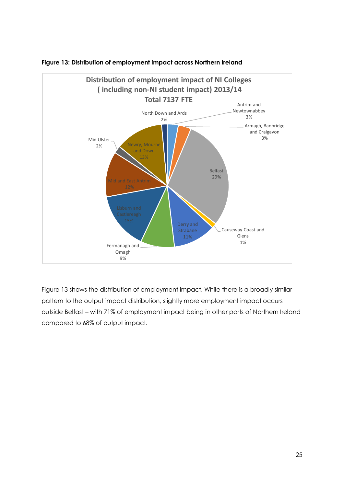

#### **Figure 13: Distribution of employment impact across Northern Ireland**

Figure 13 shows the distribution of employment impact. While there is a broadly similar pattern to the output impact distribution, slightly more employment impact occurs outside Belfast – with 71% of employment impact being in other parts of Northern Ireland compared to 68% of output impact.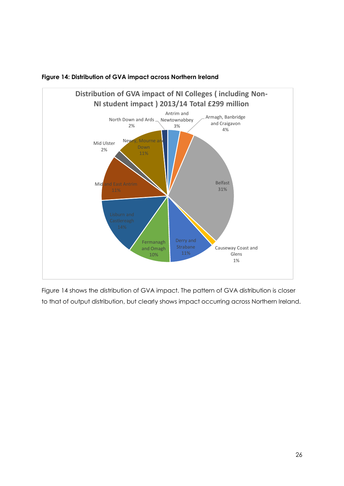

#### **Figure 14: Distribution of GVA impact across Northern Ireland**

Figure 14 shows the distribution of GVA impact. The pattern of GVA distribution is closer to that of output distribution, but clearly shows impact occurring across Northern Ireland.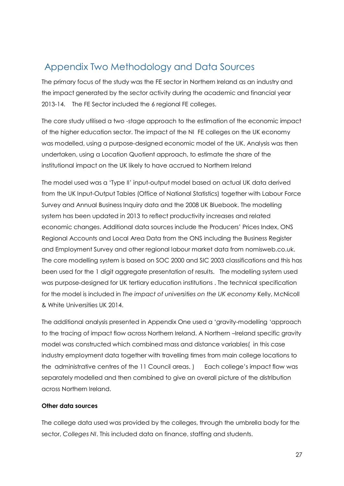### <span id="page-26-0"></span>Appendix Two Methodology and Data Sources

The primary focus of the study was the FE sector in Northern Ireland as an industry and the impact generated by the sector activity during the academic and financial year 2013-14. The FE Sector included the 6 regional FE colleges.

The core study utilised a two -stage approach to the estimation of the economic impact of the higher education sector. The impact of the NI FE colleges on the UK economy was modelled, using a purpose-designed economic model of the UK. Analysis was then undertaken, using a Location Quotient approach, to estimate the share of the institutional impact on the UK likely to have accrued to Northern Ireland

The model used was a 'Type II' input-output model based on actual UK data derived from the UK Input-Output Tables (Office of National Statistics) together with Labour Force Survey and Annual Business Inquiry data and the 2008 UK Bluebook. The modelling system has been updated in 2013 to reflect productivity increases and related economic changes. Additional data sources include the Producers' Prices Index, ONS Regional Accounts and Local Area Data from the ONS including the Business Register and Employment Survey and other regional labour market data from nomisweb.co.uk. The core modelling system is based on SOC 2000 and SIC 2003 classifications and this has been used for the 1 digit aggregate presentation of results. The modelling system used was purpose-designed for UK tertiary education institutions . The technical specification for the model is included in *The impact of universities on the UK economy* Kelly, McNicoll & White Universities UK 2014.

The additional analysis presented in Appendix One used a 'gravity-modelling 'approach to the tracing of impact flow across Northern Ireland. A Northern –Ireland specific gravity model was constructed which combined mass and distance variables( in this case industry employment data together with travelling times from main college locations to the administrative centres of the 11 Council areas. ) Each college's impact flow was separately modelled and then combined to give an overall picture of the distribution across Northern Ireland.

#### **Other data sources**

The college data used was provided by the colleges, through the umbrella body for the sector, *Colleges NI*. This included data on finance, staffing and students.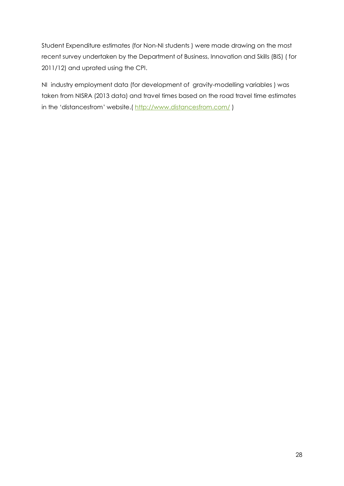Student Expenditure estimates (for Non-NI students ) were made drawing on the most recent survey undertaken by the Department of Business, Innovation and Skills (BIS) ( for 2011/12) and uprated using the CPI.

<span id="page-27-0"></span>NI industry employment data (for development of gravity-modelling variables ) was taken from NISRA (2013 data) and travel times based on the road travel time estimates in the 'distancesfrom' website.( <http://www.distancesfrom.com/>)